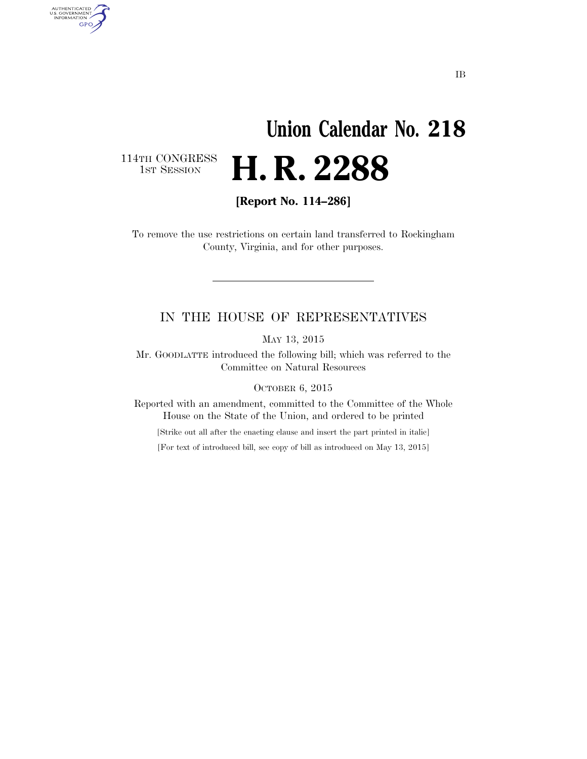## **Union Calendar No. 218**  H. R. 2288

114TH CONGRESS<br>1st Session

AUTHENTICATED<br>U.S. GOVERNMENT<br>INFORMATION GPO

**[Report No. 114–286]** 

To remove the use restrictions on certain land transferred to Rockingham County, Virginia, and for other purposes.

## IN THE HOUSE OF REPRESENTATIVES

MAY 13, 2015

Mr. GOODLATTE introduced the following bill; which was referred to the Committee on Natural Resources

OCTOBER 6, 2015

Reported with an amendment, committed to the Committee of the Whole House on the State of the Union, and ordered to be printed

[Strike out all after the enacting clause and insert the part printed in italic]

[For text of introduced bill, see copy of bill as introduced on May 13, 2015]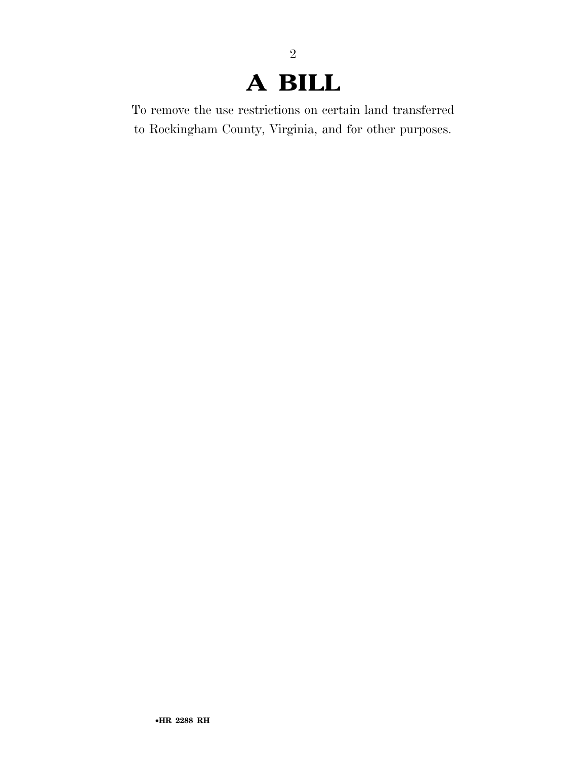## **A BILL**

2

To remove the use restrictions on certain land transferred to Rockingham County, Virginia, and for other purposes.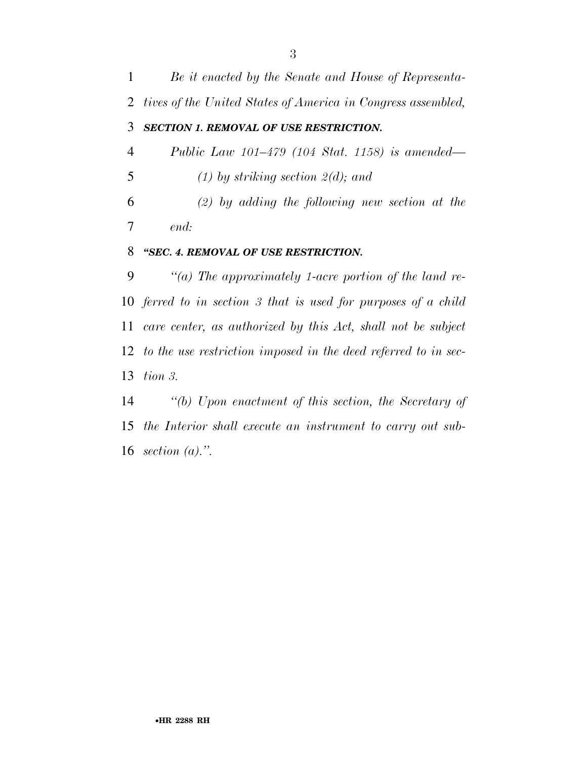| $\mathbf{1}$   | Be it enacted by the Senate and House of Representa-           |
|----------------|----------------------------------------------------------------|
|                | 2 tives of the United States of America in Congress assembled, |
| 3              | <b>SECTION 1. REMOVAL OF USE RESTRICTION.</b>                  |
| $\overline{4}$ | <i>Public Law 101–479 (104 Stat. 1158) is amended—</i>         |
| 5              | $(1)$ by striking section $2(d)$ ; and                         |
| 6              | $(2)$ by adding the following new section at the               |
| 7              | end:                                                           |
| 8              | "SEC. 4. REMOVAL OF USE RESTRICTION.                           |
| 9              | "(a) The approximately 1-acre portion of the land re-          |
|                |                                                                |

 *ferred to in section 3 that is used for purposes of a child care center, as authorized by this Act, shall not be subject to the use restriction imposed in the deed referred to in sec-tion 3.* 

 *''(b) Upon enactment of this section, the Secretary of the Interior shall execute an instrument to carry out sub-section (a).''.*